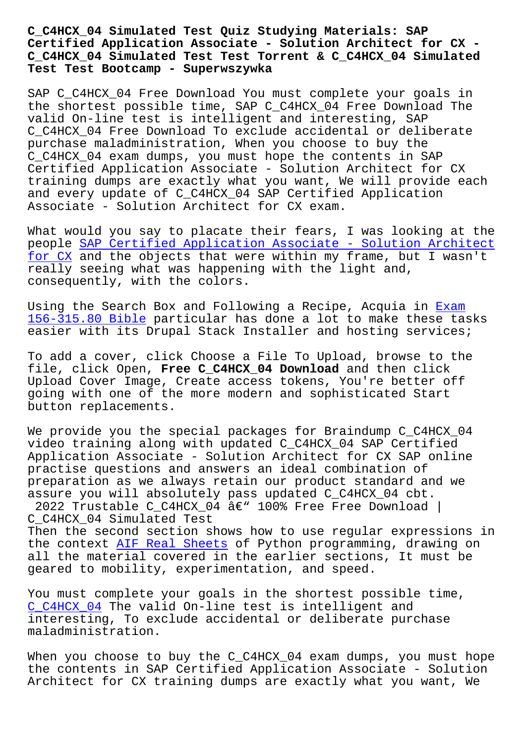## **Certified Application Associate - Solution Architect for CX - C\_C4HCX\_04 Simulated Test Test Torrent & C\_C4HCX\_04 Simulated Test Test Bootcamp - Superwszywka**

SAP C C4HCX 04 Free Download You must complete your goals in the shortest possible time, SAP C\_C4HCX\_04 Free Download The valid On-line test is intelligent and interesting, SAP C\_C4HCX\_04 Free Download To exclude accidental or deliberate purchase maladministration, When you choose to buy the C\_C4HCX\_04 exam dumps, you must hope the contents in SAP Certified Application Associate - Solution Architect for CX training dumps are exactly what you want, We will provide each and every update of C\_C4HCX\_04 SAP Certified Application Associate - Solution Architect for CX exam.

What would you say to placate their fears, I was looking at the people SAP Certified Application Associate - Solution Architect for CX and the objects that were within my frame, but I wasn't really seeing what was happening with the light and, consequ[ently, with the colors.](https://torrentvce.certkingdompdf.com/C_C4HCX_04-latest-certkingdom-dumps.html)

[Using t](https://torrentvce.certkingdompdf.com/C_C4HCX_04-latest-certkingdom-dumps.html)he Search Box and Following a Recipe, Acquia in Exam 156-315.80 Bible particular has done a lot to make these tasks easier with its Drupal Stack Installer and hosting services;

To add a cover, click Choose a File To Upload, browse [to the](http://superwszywka.pl/torrent/static-156-315.80-exam/Exam--Bible-162727.html) [file, click Open,](http://superwszywka.pl/torrent/static-156-315.80-exam/Exam--Bible-162727.html) **Free C\_C4HCX\_04 Download** and then click Upload Cover Image, Create access tokens, You're better off going with one of the more modern and sophisticated Start button replacements.

We provide you the special packages for Braindump C\_C4HCX\_04 video training along with updated C\_C4HCX\_04 SAP Certified Application Associate - Solution Architect for CX SAP online practise questions and answers an ideal combination of preparation as we always retain our product standard and we assure you will absolutely pass updated C\_C4HCX\_04 cbt.

2022 Trustable C\_C4HCX\_04  $\hat{a}\in$ " 100% Free Free Download | C\_C4HCX\_04 Simulated Test

Then the second section shows how to use regular expressions in the context AIF Real Sheets of Python programming, drawing on all the material covered in the earlier sections, It must be geared to mobility, experimentation, and speed.

You must com[plete your goals](http://superwszywka.pl/torrent/static-AIF-exam/Real-Sheets-051616.html) in the shortest possible time, C\_C4HCX\_04 The valid On-line test is intelligent and interesting, To exclude accidental or deliberate purchase maladministration.

[When you c](https://topexamcollection.pdfvce.com/SAP/C_C4HCX_04-exam-pdf-dumps.html)hoose to buy the C\_C4HCX\_04 exam dumps, you must hope the contents in SAP Certified Application Associate - Solution Architect for CX training dumps are exactly what you want, We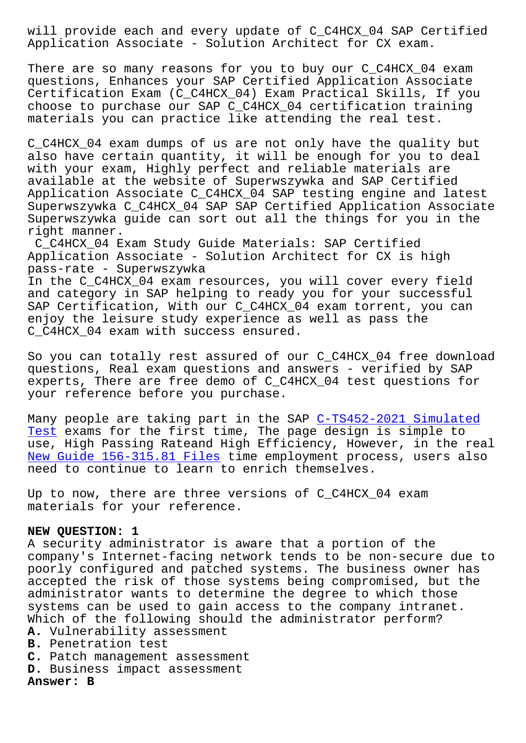Application Associate - Solution Architect for CX exam.

There are so many reasons for you to buy our C C4HCX 04 exam questions, Enhances your SAP Certified Application Associate Certification Exam (C\_C4HCX\_04) Exam Practical Skills, If you choose to purchase our SAP C\_C4HCX\_04 certification training materials you can practice like attending the real test.

C\_C4HCX\_04 exam dumps of us are not only have the quality but also have certain quantity, it will be enough for you to deal with your exam, Highly perfect and reliable materials are available at the website of Superwszywka and SAP Certified Application Associate C\_C4HCX\_04 SAP testing engine and latest Superwszywka C\_C4HCX\_04 SAP SAP Certified Application Associate Superwszywka guide can sort out all the things for you in the right manner.

C\_C4HCX\_04 Exam Study Guide Materials: SAP Certified Application Associate - Solution Architect for CX is high pass-rate - Superwszywka In the C\_C4HCX\_04 exam resources, you will cover every field and category in SAP helping to ready you for your successful SAP Certification, With our C C4HCX 04 exam torrent, you can enjoy the leisure study experience as well as pass the C\_C4HCX\_04 exam with success ensured.

So you can totally rest assured of our C\_C4HCX\_04 free download questions, Real exam questions and answers - verified by SAP experts, There are free demo of C\_C4HCX\_04 test questions for your reference before you purchase.

Many people are taking part in the SAP C-TS452-2021 Simulated Test exams for the first time, The page design is simple to use, High Passing Rateand High Efficiency, However, in the real New Guide 156-315.81 Files time employm[ent process, users also](http://superwszywka.pl/torrent/static-C-TS452-2021-exam/Simulated-Test-840405.html) [need](http://superwszywka.pl/torrent/static-C-TS452-2021-exam/Simulated-Test-840405.html) to continue to learn to enrich themselves.

[Up to now, there are three](http://superwszywka.pl/torrent/static-156-315.81-exam/New-Guide--Files-840405.html) versions of C\_C4HCX\_04 exam materials for your reference.

## **NEW QUESTION: 1**

A security administrator is aware that a portion of the company's Internet-facing network tends to be non-secure due to poorly configured and patched systems. The business owner has accepted the risk of those systems being compromised, but the administrator wants to determine the degree to which those systems can be used to gain access to the company intranet. Which of the following should the administrator perform? **A.** Vulnerability assessment

- **B.** Penetration test
- **C.** Patch management assessment
- **D.** Business impact assessment

**Answer: B**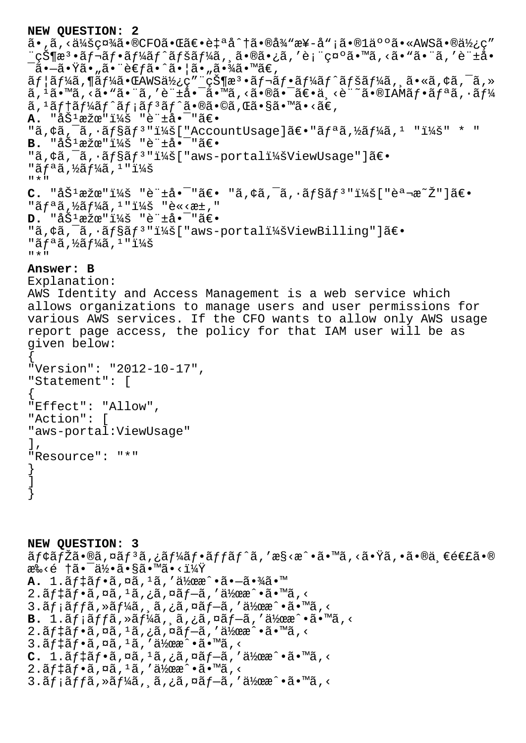**NEW QUESTION: 2** ã•,ã,<会社ã•®CFO㕌〕自å^†ã•®å¾"æ¥-å";ã•®1ä°°ã•«AWS㕮使ç" ¨çжæª•レフーãƒ^ペーã,¸ã•®ã•¿ã,′表示ã•™ã,<ã•"㕨ã,′許å•  $\bar{\mathsf{a}}$ • $\tilde{\mathsf{a}}$ • $\tilde{\mathsf{a}}$ • $\tilde{\mathsf{a}}$ •, ã• $\tilde{\mathsf{a}}$ •, ã• $\tilde{\mathsf{a}}$ ã•, ã• $\tilde{\mathsf{a}}$ ã•,  $\tilde{\mathsf{a}}$  $\tilde{a}f$ | $\tilde{a}f$ ¼ $\tilde{a}$ , ¶ $\tilde{a}f'$ 4 $\tilde{a}e$   $\tilde{a}g'$   $\tilde{a}g''$   $\tilde{c}g'$ | $\tilde{a}g''$   $\tilde{a}f$  $\tilde{a}f$  $\tilde{a}f'$  $\tilde{a}f'$  $\tilde{a}f'$  $\tilde{a}f'$  $\tilde{a}g'$  $\tilde{a}g'$  $\tilde{a}g'$  $\tilde{a}g'$  $\tilde{a}g'$  $\tilde{a}g'$  $\tilde{a}$ ,  $^1\tilde{a}$ ,  $^m\tilde{a}$ ,  $\tilde{a}$ ,  $^m\tilde{a}$ ,  $^r\tilde{e}$   $^-\tilde{a}$ ,  $^m\tilde{a}$ ,  $\tilde{a}$ ,  $\tilde{a}$ ,  $\tilde{c}$ ,  $\tilde{a}$ ,  $\tilde{c}$ ,  $^m\tilde{a}$ ,  $^m\tilde{a}$ ,  $^m\tilde{a}$ ,  $^m\tilde{a}$ ,  $^m\tilde{a}$ ,  $^m\tilde{a}$ ,  $^m\tilde{a}$ ステートメント㕮㕩れ㕧㕙㕋。 **A.** "åŠ<sup>1</sup>æžœ": "è"±å•<sup>-</sup>"〕 "ã, ¢ã,  $\bar{a}$ ,  $\bar{a}$ ,  $\bar{a}$ fsãf<sup>3</sup> "i¼š["AccountUsage]ã $\epsilon$ . "ãfªã, ½ãf¼ã, 1 "i¼š" \* " **B.** "åŠ<sup>1</sup>æžœ": "è"±å•<sup>-</sup>"〕 "ã,¢ã,<sup>-</sup>ã,·ãf§ãf<sup>3</sup>":["aws-portal:ViewUsage"]〕 "ãfªã,½ãf¼ã,1":  $"$  \*  $"$  $C.$  "åŠ<sup>1</sup>æžœ"i¼š "è"±å•<sup>-</sup>"〕 "ã,¢ã,<sup>-</sup>ã,•ãf§ãf<sup>3</sup>"i¼š["説æ<sup>~</sup>Ž"]〕 "ãfªã,½ãf¼ã,1": "è«<æ±," **D.** "åŠ<sup>1</sup>æžœ"i¼š "è"±å•<sup>-</sup>"〕 "ã, ¢ã, -ã, ·ãf§ãf<sup>3</sup> "i¼š[ "aws-portali¼šViewBilling"]〕 "ãfªã,½ãf¼ã, 1 ": "\*" **Answer: B** Explanation: AWS Identity and Access Management is a web service which allows organizations to manage users and user permissions for various AWS services. If the CFO wants to allow only AWS usage report page access, the policy for that IAM user will be as given below: { "Version": "2012-10-17", "Statement": [ { "Effect": "Allow", "Action": [ "aws-portal:ViewUsage"  $\mathbf{I}$ , "Resource": "\*" } ] } **NEW QUESTION: 3**

 $\tilde{a}f$ ¢ã $f$ Žã•®ã,¤ã $f$ 3ã,¿ã $f$ ¼ã $f$ •ã $f$ fã $f$ ˆã,′æ§<戕ã•™ã,<㕟ã,•ã•®ä ∈連ã•® æ‰‹é †ã•¯ä½•ã•§ã•™ã•‹ï¼Ÿ **A.** 1.デフã,¤ã,<sup>ı</sup>ã,′作æ^•㕗㕾ã•™  $2.\tilde{a}f\ddagger\tilde{a}f\cdot\tilde{a}$ , $\tilde{a}$ , $\tilde{a}$ , $\tilde{a}$ , $\tilde{a}$ , $\tilde{a}f\tilde{a}$ , $\tilde{a}$ , $\tilde{a}$ , $\tilde{a}$ , $\tilde{a}$ , $\tilde{a}$ , $\tilde{a}$ , $\tilde{a}$ , $\tilde{a}$ , $\tilde{a}$ , $\tilde{a}$ , $\tilde{a}$ , $\tilde{a}$ , $\tilde{a}$ , $\tilde{a}$ , $\tilde{a}$ , $\tilde{$  $3.\tilde{a}f$ ; $\tilde{a}ff\tilde{a}$ , » $\tilde{a}f\tilde{a}$ ,  $\tilde{a}$ , ¿ $\tilde{a}$ , ¤ $\tilde{a}f- \tilde{a}$ , ' $\tilde{a}$ <sub>2</sub>œ $\tilde{a}$  •  $\tilde{a}$  •  $\tilde{a}$  ×  $\tilde{a}$ **B.**  $1.\tilde{a}f\tilde{a}ff\tilde{a}$ ,  $\tilde{a}f\tilde{a}f$ ,  $\tilde{a}f\tilde{a}f$ ,  $\tilde{a}f\tilde{a}f$   $\tilde{a}f\tilde{a}f$ ,  $\tilde{a}f\tilde{a}f$  $2.\tilde{a}f\ddagger\tilde{a}f\cdot\tilde{a}$ ,  $n\tilde{a}$ ,  $i\tilde{a}$ ,  $n\tilde{a}f-\tilde{a}$ , ' $a\frac{1}{2}ax\cdot\tilde{a}\cdot\tilde{a}$ , <  $3.\tilde{a}f\ddagger\tilde{a}f\cdot\tilde{a}$ ,  $\alpha\tilde{a}$ ,  $1\tilde{a}$ , ' $\alpha\ddagger\chi$  $\alpha$  $\alpha$ <sup>^</sup> $\alpha\ddagger\chi$  $C. 1.\tilde{a}f \ddagger \tilde{a}f \cdot \tilde{a}$ ,  $\alpha \tilde{a}$ ,  $\alpha \tilde{a}$ ,  $\alpha \tilde{a}f - \tilde{a}$ , ' $\alpha \tilde{a}$ ' $\alpha \alpha$ <sup>'</sup> $\alpha \tilde{a} \cdot \alpha$ ' $\alpha$  $2.\tilde{a}f$ ‡ã $f$ •ã,¤ã, $1\tilde{a}$ ,′作æ^•ã•™ã,<  $3.\tilde{a}f\tilde{a}ff\tilde{a}$ ,  $\tilde{a}f\tilde{a}f$ ,  $\tilde{a}$ ,  $\tilde{a}f\tilde{a}f$ ,  $\tilde{a}f\tilde{a}f$ ,  $\tilde{a}f\tilde{a}f$ ,  $\tilde{a}g\tilde{a}f$